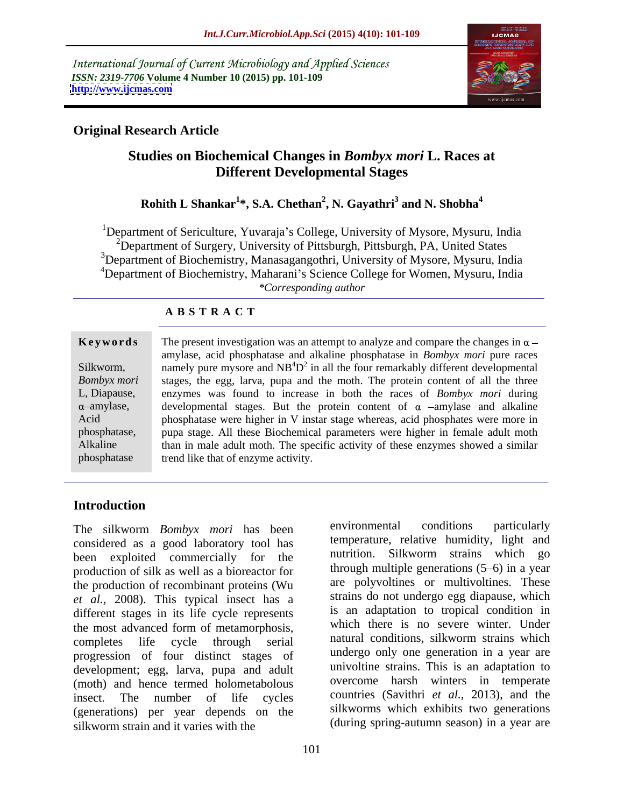International Journal of Current Microbiology and Applied Sciences *ISSN: 2319-7706* **Volume 4 Number 10 (2015) pp. 101-109 <http://www.ijcmas.com>**



environmental conditions particularly

# **Original Research Article**

# **Studies on Biochemical Changes in** *Bombyx mori* **L. Races at Different Developmental Stages**

### **Rohith L Shankar<sup>1</sup> \*, S.A. Chethan<sup>2</sup> , N. Gayathri<sup>3</sup> and N. Shobha<sup>4</sup>**

1Department of Sericulture, Yuvaraja s College, University of Mysore, Mysuru, India <sup>2</sup>Department of Surgery, University of Pittsburgh, Pittsburgh, PA, United States <sup>3</sup>Department of Biochemistry, Manasagangothri, University of Mysore, Mysuru, India <sup>4</sup>Department of Biochemistry, Maharani's Science College for Women, Mysuru, India *\*Corresponding author*

### **A B S T R A C T**

phosphatase

The present investigation was an attempt to analyze and compare the changes in  $\alpha$  – amylase, acid phosphatase and alkaline phosphatase in *Bombyx mori* pure races Silkworm, namely pure mysore and  $NB<sup>4</sup>D<sup>2</sup>$  in all the four remarkably different developmental Bombyx mori stages, the egg, larva, pupa and the moth. The protein content of all the three L, Diapause, enzymes was found to increase in both the races of *Bombyx mori* during amylase, developmental stages. But the protein content of  $\alpha$  -amylase and alkaline Acid phosphatase were higher in V instar stage whereas, acid phosphates were more in phosphatase, pupa stage. All these Biochemical parameters were higher in female adult moth Alkaline than in male adult moth. The specific activity of these enzymes showed a similar **Keywords** The present investigation was an attempt to analyze and compare the changes in  $\alpha$ —<br>
silkworm, annely pure mysore and NB<sup>4</sup>D<sup>2</sup> in all the four remarkably different developmental<br>
stages, the egg, larva, pupa

> temperature, relative humidity, light and nutrition. Silkworm strains which go through multiple generations  $(5-6)$  in a year are polyvoltines or multivoltines. These strains do not undergo egg diapause, which is an adaptation to tropical condition in which there is no severe winter. Under natural conditions, silkworm strains which undergo only one generation in a year are univoltine strains. This is an adaptation to overcome harsh winters in temperate

> silkworms which exhibits two generations

# **Introduction**

The silkworm *Bombyx mori* has been considered as a good laboratory tool has been exploited commercially for the production of silk as well as a bioreactor for the production of recombinant proteins (Wu *et al.,* 2008). This typical insect has a different stages in its life cycle represents the most advanced form of metamorphosis, completes life cycle through serial altural conditions, silkworm strains which progression of four distinct stages of development; egg, larva, pupa and adult (moth) and hence termed holometabolous insect. The number of life cycles countries (Savithri *et al.*, 2013), and the (generations) per year depends on the silkworm strain and it varies with the (during spring-autumn season) in a year are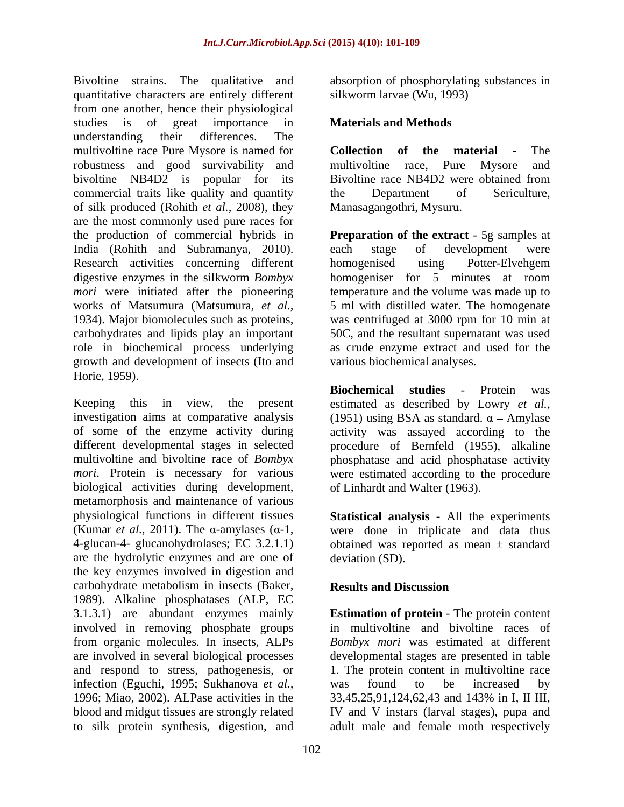Bivoltine strains. The qualitative and absorption of phosphorylating substances in quantitative characters are entirely different from one another, hence their physiological studies is of great importance in **Materials and Methods** understanding their differences. The multivoltine race Pure Mysore is named for **Collection of the material** - The robustness and good survivability and multivoltine race, Pure Mysore and bivoltine NB4D2 is popular for its Bivoltine race NB4D2 were obtained from commercial traits like quality and quantity and the Department of Sericulture, of silk produced (Rohith *et al.,* 2008), they are the most commonly used pure races for the production of commercial hybrids in **Preparation of the extract** - 5g samples at India (Rohith and Subramanya, 2010). Research activities concerning different homogenised using Potter-Elvehgem digestive enzymes in the silkworm *Bombyx mori* were initiated after the pioneering temperature and the volume was made up to works of Matsumura (Matsumura, *et al.*, 5 ml with distilled water. The homogenate 1934). Major biomolecules such as proteins, was centrifuged at 3000 rpm for 10 min at carbohydrates and lipids play an important 50C, and the resultant supernatant was used role in biochemical process underlying as crude enzyme extract and used for the growth and development of insects (Ito and Horie, 1959).

Keeping this in view, the present estimated as described by Lowry *et al.*, investigation aims at comparative analysis (1951) using BSA as standard.  $\alpha$  – Amylase of some of the enzyme activity during activity was assayed according to the different developmental stages in selected procedure of Bernfeld (1955), alkaline multivoltine and bivoltine race of *Bombyx*  phosphatase and acid phosphatase activity *mori*. Protein is necessary for various were estimated according to the procedure biological activities during development, metamorphosis and maintenance of various physiological functions in different tissues **Statistical analysis -** All the experiments (Kumar *et al.*, 2011). The  $\alpha$ -amylases ( $\alpha$ -1, were done in triplicate and data thus 4-glucan-4- glucanohydrolases; EC 3.2.1.1) obtained was reported as mean ± standard are the hydrolytic enzymes and are one of the key enzymes involved in digestion and carbohydrate metabolism in insects (Baker, Results and Discussion 1989). Alkaline phosphatases (ALP, EC<br>3.1.3.1) are abundant enzymes mainly 3.1.3.1) are abundant enzymes mainly **Estimation of protein** - The protein content involved in removing phosphate groups from organic molecules. In insects, ALPs *Bombyx mori* was estimated at different are involved in several biological processes developmental stages are presented in table and respond to stress, pathogenesis, or 1. The protein content in multivoltine race infection (Eguchi, 1995; Sukhanova *et al.,* 1996; Miao, 2002). ALPase activities in the 33,45,25,91,124,62,43 and 143% in I, II III, blood and midgut tissues are strongly related IV and V instars (larval stages), pupa and to silk protein synthesis, digestion, and adult male and female moth respectively

silkworm larvae (Wu, 1993)

### **Materials and Methods**

**Collection** of the material multivoltine race, Pure Mysore and Bivoltine race NB4D2 were obtained from the Department of Sericulture, Manasagangothri, Mysuru.

each stage of development were homogenised using Potter-Elvehgem homogeniser for 5 minutes at room various biochemical analyses.

**Biochemical studies** - Protein was of Linhardt and Walter (1963).

deviation (SD).

# **Results and Discussion**

in multivoltine and bivoltine races of was found to be increased by 33,45,25,91,124,62,43 and 143% in I, II III,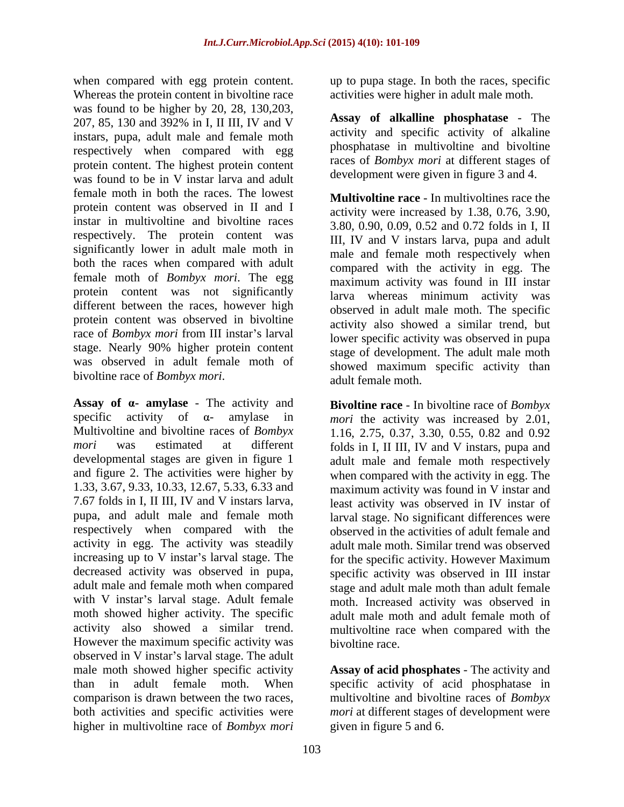when compared with egg protein content. Whereas the protein content in bivoltine race was found to be higher by 20, 28, 130,203, 207, 85, 130 and 392% in I, II III, IV and V instars, pupa, adult male and female moth respectively when compared with egg protein content. The highest protein content was found to be in V instar larva and adult female moth in both the races. The lowest protein content was observed in II and I instar in multivoltine and bivoltine races respectively. The protein content was significantly lower in adult male moth in both the races when compared with adult female moth of *Bombyx mori*. The egg protein content was not significantly different between the races, however high protein content was observed in bivoltine race of *Bombyx mori* from III instar's larval stage. Nearly 90% higher protein content was observed in adult female moth of bivoltine race of *Bombyx mori*.

Assay of  $\alpha$ - **amylase** - The activity and activity in egg. The activity was steadily increasing up to  $V$  instar's larval stage. The However the maximum specific activity was observed in V instar's larval stage. The adult male moth showed higher specific activity **Assay of acid phosphates** - The activity and than in adult female moth. When specific activity of acid phosphatase in comparison is drawn between the two races, multivoltine and bivoltine races of *Bombyx*  both activities and specific activities were *mori* at different stages of development were higher in multivoltine race of *Bombyx mori*

up to pupa stage. In both the races, specific activities were higher in adult male moth.

**Assay of alkalline phosphatase** - The activity and specific activity of alkaline phosphatase in multivoltine and bivoltine races of *Bombyx mori* at different stages of development were given in figure 3 and 4.

**Multivoltine race** - In multivoltines race the activity were increased by 1.38, 0.76, 3.90, 3.80, 0.90, 0.09, 0.52 and 0.72 folds in I, II III, IV and V instars larva, pupa and adult male and female moth respectively when compared with the activity in egg. The maximum activity was found in III instar larva whereas minimum activity was observed in adult male moth. The specific activity also showed a similar trend, but lower specific activity was observed in pupa stage of development. The adult male moth showed maximum specific activity than adult female moth.

specific activity of  $\alpha$ - amylase in *mori* the activity was increased by 2.01, Multivoltine and bivoltine races of *Bombyx*  1.16, 2.75, 0.37, 3.30, 0.55, 0.82 and 0.92 *mori* was estimated at different folds in I, II III, IV and V instars, pupa and developmental stages are given in figure 1 adult male and female moth respectively and figure 2. The activities were higher by when compared with the activity in egg. The 1.33, 3.67, 9.33, 10.33, 12.67, 5.33, 6.33 and maximum activity was found in V instar and 7.67 folds in I, II III, IV and V instars larva, least activity was observed in IV instarof pupa, and adult male and female moth larval stage. No significant differences were respectively when compared with the observed in the activities of adult female and decreased activity was observed in pupa, specific activity was observed in III instar adult male and female moth when compared stage and adult male moth than adult female with V instar's larval stage. Adult female moth. Increased activity was observed in moth showed higher activity. The specific adult male moth and adult female moth of activity also showed a similar trend. multivoltine race when compared with the **Bivoltine race** - In bivoltine race of *Bombyx*  adult male moth. Similar trend was observed for the specific activity. However Maximum bivoltine race.

given in figure 5 and 6.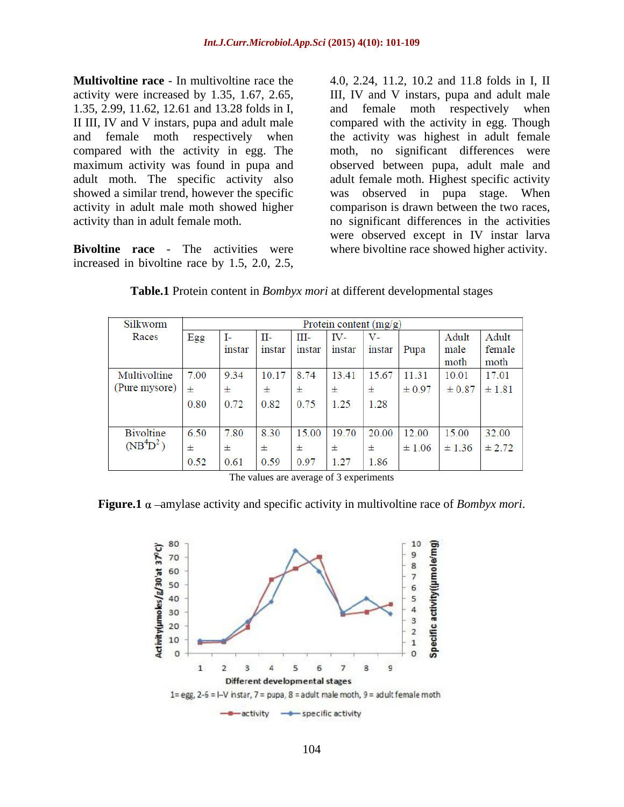**Multivoltine race** - In multivoltine race the  $\qquad 4.0, 2.24, 11.2, 10.2$  and 11.8 folds in I, II activity were increased by 1.35, 1.67, 2.65, III, IV and V instars, pupa and adult male 1.35, 2.99, 11.62, 12.61 and 13.28 folds in I, II III, IV and V instars, pupa and adult male compared with the activity in egg. Though and female moth respectively when the activity was highest in adult female compared with the activity in egg. The maximum activity was found in pupa and observed between pupa, adult male and adult moth. The specific activity also adult female moth. Highest specific activity showed a similar trend, however the specific was observed in pupa stage. When activity in adult male moth showed higher comparison is drawn between the two races, activity than in adult female moth. no significant differences in the activities

**Bivoltine race** - The activities were where bivoltine race showed higher activity.

**Multivoltine race** - In multivoltine race the  $4.0$ ,  $2.24$ ,  $11.2$ ,  $10.2$  and  $11.8$  folds in I, II and  $5.2.99$ ,  $11.62$ ,  $12.61$  and  $13.28$  folds in I, and  $11$  and  $11$ , IV and  $V$  instars, pupa and adult male  $11$ and female moth respectively moth, no significant differences were were observed except in IV instar larva

| Silkworm                          | Protein content $(mg/g)$ |        |        |        |        |        |            |            |        |
|-----------------------------------|--------------------------|--------|--------|--------|--------|--------|------------|------------|--------|
| Races                             | Egg                      | I-     | П-     | Ш-     | IV-    | V-     |            | Adult      | Adult  |
|                                   |                          | instar | instar | instar | instar | instar | Pupa       | male       | female |
|                                   |                          |        |        |        |        |        |            | moth       | moth   |
| Multivoltine                      | 7.00                     | 9.34   | 10.17  | 8.74   | 13.41  | 15.67  | 11.31      | 10.01      | 17.01  |
| (Pure mysore)                     | 士                        | 士      | 士      | 士      | 士      | 士      | $\pm 0.97$ | $\pm 0.87$ | ±1.81  |
|                                   | 0.80                     | 0.72   | 0.82   | 0.75   | 1.25   | 1.28   |            |            |        |
|                                   |                          |        |        |        |        |        |            |            |        |
| <b>Bivoltine</b>                  | 6.50                     | 7.80   | 8.30   | 15.00  | 19.70  | 20.00  | 12.00      | 15.00      | 32.00  |
| (NB <sup>4</sup> D <sup>2</sup> ) | 士                        | 士      | 士      | 士      | 士      | 士      | $\pm 1.06$ | ± 1.36     | ± 2.72 |
|                                   | 0.52                     | 0.61   | 0.59   | 0.97   | 1.27   | 1.86   |            |            |        |

**Table.1** Protein content in *Bombyx mori* at different developmental stages

The values are average of 3 experiments

**Figure.1**  $\alpha$  –amylase activity and specific activity in multivoltine race of *Bombyx mori*.

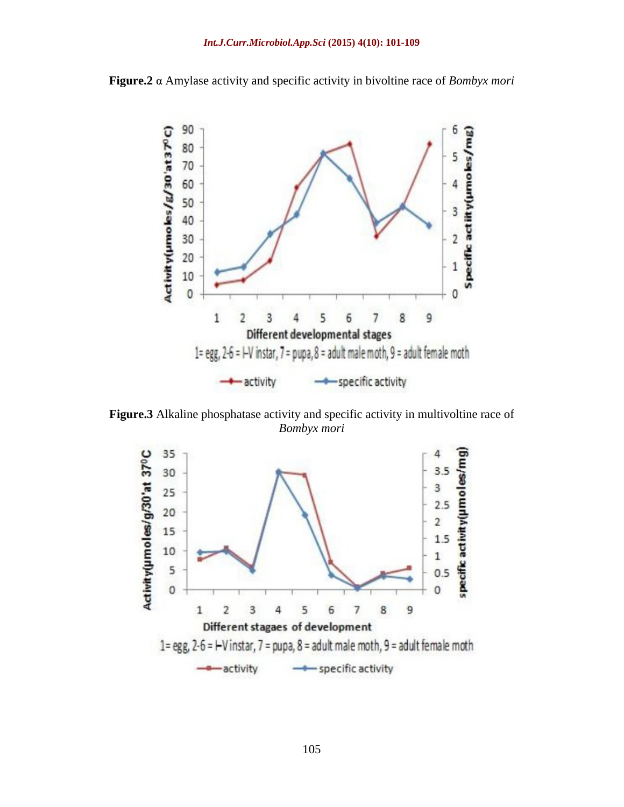

**Figure.2** Amylase activity and specific activity in bivoltine race of *Bombyx mori*

**Figure.3** Alkaline phosphatase activity and specific activity in multivoltine race of *Bombyx mori*

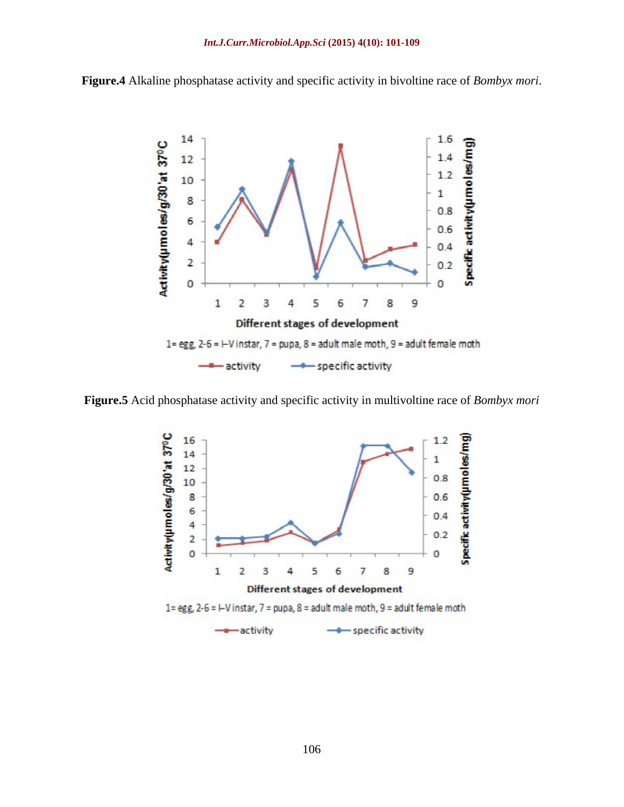



**Figure.5** Acid phosphatase activity and specific activity in multivoltine race of *Bombyx mori*

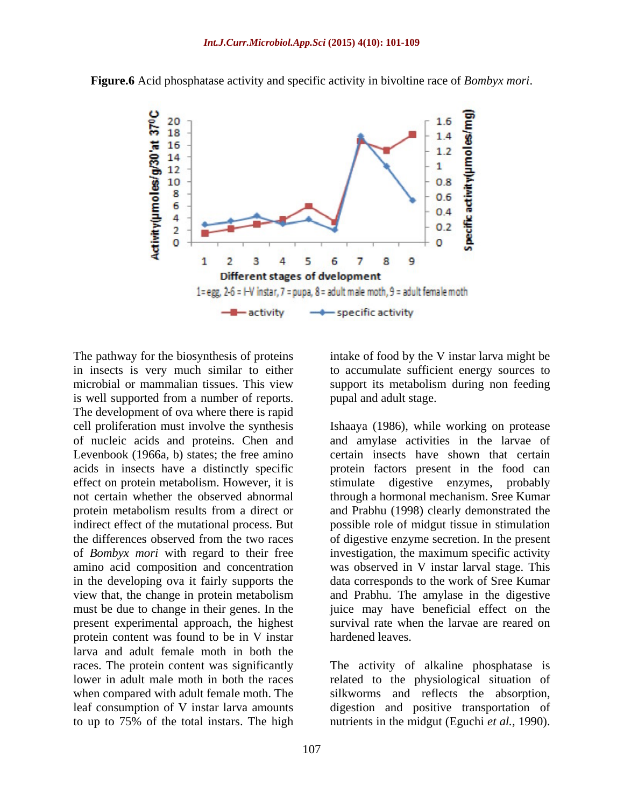

in insects is very much similar to either to accumulate sufficient energy sources to microbial or mammalian tissues. This view support its metabolism during non feeding is well supported from a number of reports. The development of ova where there is rapid of nucleic acids and proteins. Chen and Levenbook (1966a, b) states; the free amino effect on protein metabolism. However, it is stimulate digestive enzymes, probably must be due to change in their genes. In the present experimental approach, the highest protein content was found to be in V instar larva and adult female moth in both the races. The protein content was significantly The activity of alkaline phosphatase is lower in adult male moth in both the races related to the physiological situation of when compared with adult female moth. The silkworms and reflects the absorption, leaf consumption of V instar larva amounts digestion and positive transportation of to up to 75% of the total instars. The high nutrients in the midgut (Eguchi *et al.,* 1990).

intake of food by the V instar larva might be pupal and adult stage.

cell proliferation must involve the synthesis Ishaaya (1986), while working on protease acids in insects have a distinctly specific protein factors present in the food can not certain whether the observed abnormal through a hormonal mechanism. Sree Kumar protein metabolism results from a direct or and Prabhu (1998) clearly demonstrated the indirect effect of the mutational process. But possible role of midgut tissue in stimulation the differences observed from the two races of digestive enzyme secretion. In the present of *Bombyx mori* with regard to their free investigation, the maximum specific activity amino acid composition and concentration was observed in V instar larval stage. This in the developing ova it fairly supports the data corresponds to the work of Sree Kumar view that, the change in protein metabolism and Prabhu. The amylase in the digestive and amylase activities in the larvae of certain insects have shown that certain stimulate digestive enzymes, juice may have beneficial effect on the survival rate when the larvae are reared on hardened leaves.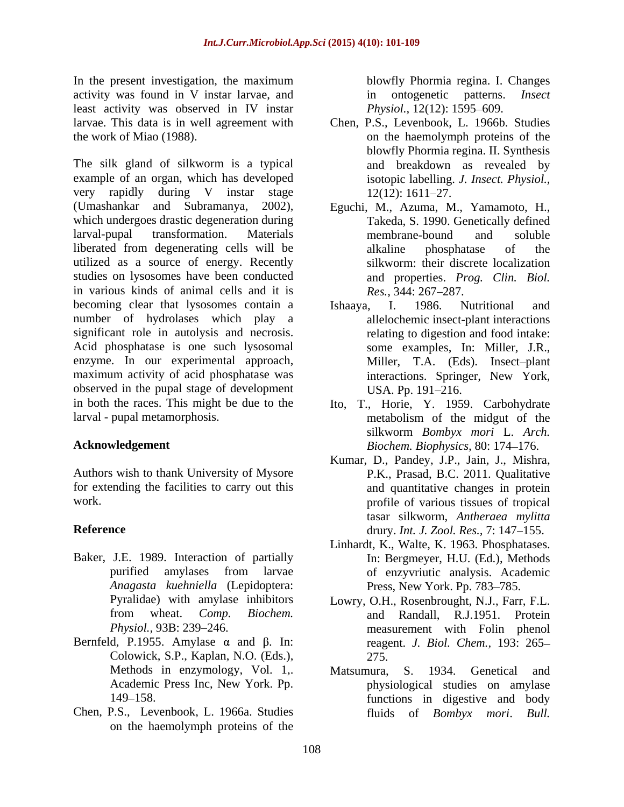In the present investigation, the maximum activity was found in V instar larvae, and in ontogenetic patterns. *Insect* least activity was observed in IV instar

The silk gland of silkworm is a typical example of an organ, which has developed very rapidly during V instar stage 12(12): 1611–27. (Umashankar and Subramanya, 2002), Eguchi, M., Azuma, M., Yamamoto, H., which undergoes drastic degeneration during larval-pupal transformation. Materials liberated from degenerating cells will be utilized as a source of energy. Recently studies on lysosomes have been conducted in various kinds of animal cells and it is  $Res.$ ,  $344:267-287$ . becoming clear that lysosomes contain a Ishaaya, I. 1986. Nutritional and number of hydrolases which play a significant role in autolysis and necrosis. Acid phosphatase is one such lysosomal observed in the pupal stage of development in both the races. This might be due to the Ito, T., Horie, Y. 1959. Carbohydrate larval - pupal metamorphosis. The metabolism of the midgut of the

Authors wish to thank University of Mysore for extending the facilities to carry out this

- Baker, J.E. 1989. Interaction of partially *Anagasta kuehniella* (Lepidoptera:
- Bernfeld, P.1955. Amylase  $\alpha$  and  $\beta$ . In: Colowick, S.P., Kaplan, N.O. (Eds.),
- Chen, P.S., Levenbook, L. 1966a. Studies fluids of Bombyx mori. Bull. on the haemolymph proteins of the

blowfly Phormia regina. I. Changes in ontogenetic patterns. *Physiol.,* 12(12): 1595–609.

- larvae. This data is in well agreement with Chen, P.S., Levenbook, L. 1966b. Studies the work of Miao (1988). The haemolymph proteins of the haemolymph proteins of the blowfly Phormia regina. II. Synthesis and breakdown as revealed by isotopic labelling. *J. Insect. Physiol.,*  $12(12): 1611 - 27.$ 
	- Takeda, S. 1990. Genetically defined membrane-bound and soluble alkaline phosphatase of the silkworm: their discrete localization and properties. *Prog. Clin. Biol. Res.,* 344: 267–287.
- enzyme. In our experimental approach, Miller, T.A. (Eds). Insect–plant maximum activity of acid phosphatase was interactions. Springer, New York, Ishaaya, I. 1986. Nutritional and allelochemic insect-plant interactions relating to digestion and food intake: some examples, In: Miller, J.R., Miller, T.A. (Eds). Insect-plant interactions. Springer, New York, USA. Pp. 191–216.
- **Acknowledgement** *Biochem. Biophysics,* 80: 174 176. metabolism of the midgut of the silkworm *Bombyx mori* L. *Arch.*
- work. profile of various tissues of tropical **Reference** drury. *Int. J. Zool. Res.,* 7: 147–155. Kumar, D., Pandey, J.P., Jain, J., Mishra, P.K., Prasad, B.C. 2011. Qualitative and quantitative changes in protein tasar silkworm, *Antheraea mylitta*
	- purified amylases from larvae Linhardt, K., Walte, K. 1963. Phosphatases. In: Bergmeyer, H.U. (Ed.), Methods of enzyvriutic analysis. Academic Press, New York. Pp. 783-785.
	- Pyralidae) with amylase inhibitors Lowry, O.H., Rosenbrought, N.J., Farr, F.L. from wheat. *Comp. Biochem.* Physiol., 93B: 239–246. The assurement with Folin phenol and Randall, R.J.1951. Protein reagent. *J. Biol. Chem.,* 193: 265 275.
	- Methods in enzymology, Vol. 1,. Matsumura, S. 1934. Genetical and Academic Press Inc, New York. Pp. physiological studies on amylase 149 158. functions in digestive and body Matsumura, S. 1934. Genetical and fluids of *Bombyx mori*. *Bull.*